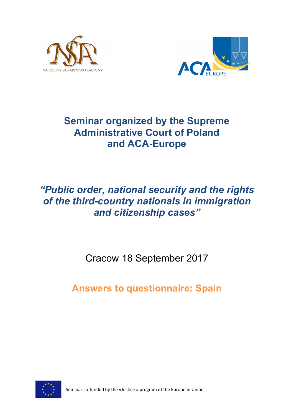



# **Seminar organized by the Supreme Administrative Court of Poland and ACA-Europe**

# *"Public order, national security and the rights of the third-country nationals in immigration and citizenship cases"*

Cracow 18 September 2017

**Answers to questionnaire: Spain**



Seminar co-funded by the «Justice » program of the European Union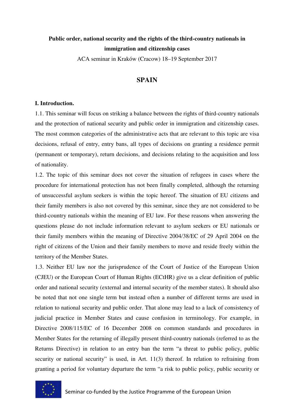## **Public order, national security and the rights of the third-country nationals in immigration and citizenship cases**

ACA seminar in Kraków (Cracow) 18–19 September 2017

### **SPAIN**

#### **I. Introduction.**

1.1. This seminar will focus on striking a balance between the rights of third-country nationals and the protection of national security and public order in immigration and citizenship cases. The most common categories of the administrative acts that are relevant to this topic are visa decisions, refusal of entry, entry bans, all types of decisions on granting a residence permit (permanent or temporary), return decisions, and decisions relating to the acquisition and loss of nationality.

1.2. The topic of this seminar does not cover the situation of refugees in cases where the procedure for international protection has not been finally completed, although the returning of unsuccessful asylum seekers is within the topic hereof. The situation of EU citizens and their family members is also not covered by this seminar, since they are not considered to be third-country nationals within the meaning of EU law. For these reasons when answering the questions please do not include information relevant to asylum seekers or EU nationals or their family members within the meaning of Directive 2004/38/EC of 29 April 2004 on the right of citizens of the Union and their family members to move and reside freely within the territory of the Member States.

1.3. Neither EU law nor the jurisprudence of the Court of Justice of the European Union (CJEU) or the European Court of Human Rights (ECtHR) give us a clear definition of public order and national security (external and internal security of the member states). It should also be noted that not one single term but instead often a number of different terms are used in relation to national security and public order. That alone may lead to a lack of consistency of judicial practice in Member States and cause confusion in terminology. For example, in Directive 2008/115/EC of 16 December 2008 on common standards and procedures in Member States for the returning of illegally present third-country nationals (referred to as the Returns Directive) in relation to an entry ban the term "a threat to public policy, public security or national security" is used, in Art. 11(3) thereof. In relation to refraining from granting a period for voluntary departure the term "a risk to public policy, public security or

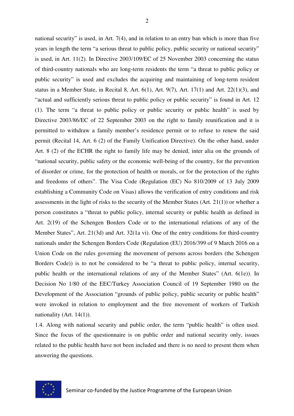2

national security" is used, in Art. 7(4), and in relation to an entry ban which is more than five years in length the term "a serious threat to public policy, public security or national security" is used, in Art. 11(2). In Directive 2003/109/EC of 25 November 2003 concerning the status of third-country nationals who are long-term residents the term "a threat to public policy or public security" is used and excludes the acquiring and maintaining of long-term resident status in a Member State, in Recital 8, Art. 6(1), Art. 9(7), Art. 17(1) and Art. 22(1)(3), and "actual and sufficiently serious threat to public policy or public security" is found in Art. 12 (1). The term "a threat to public policy or public security or public health" is used by Directive 2003/86/EC of 22 September 2003 on the right to family reunification and it is permitted to withdraw a family member's residence permit or to refuse to renew the said permit (Recital 14, Art. 6 (2) of the Family Unification Directive). On the other hand, under Art. 8 (2) of the ECHR the right to family life may be denied, inter alia on the grounds of "national security, public safety or the economic well-being of the country, for the prevention of disorder or crime, for the protection of health or morals, or for the protection of the rights and freedoms of others". The Visa Code (Regulation (EC) No 810/2009 of 13 July 2009 establishing a Community Code on Visas) allows the verification of entry conditions and risk assessments in the light of risks to the security of the Member States (Art. 21(1)) or whether a person constitutes a "threat to public policy, internal security or public health as defined in Art. 2(19) of the Schengen Borders Code or to the international relations of any of the Member States", Art. 21(3d) and Art. 32(1a vi). One of the entry conditions for third-country nationals under the Schengen Borders Code (Regulation (EU) 2016/399 of 9 March 2016 on a Union Code on the rules governing the movement of persons across borders (the Schengen Borders Code)) is to not be considered to be "a threat to public policy, internal security, public health or the international relations of any of the Member States" (Art. 6(1e)). In Decision No 1/80 of the EEC/Turkey Association Council of 19 September 1980 on the Development of the Association "grounds of public policy, public security or public health" were invoked in relation to employment and the free movement of workers of Turkish nationality (Art. 14(1)).

1.4. Along with national security and public order, the term "public health" is often used. Since the focus of the questionnaire is on public order and national security only, issues related to the public health have not been included and there is no need to present them when answering the questions.

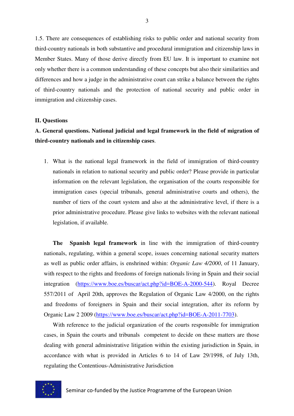1.5. There are consequences of establishing risks to public order and national security from third-country nationals in both substantive and procedural immigration and citizenship laws in Member States. Many of those derive directly from EU law. It is important to examine not only whether there is a common understanding of these concepts but also their similarities and differences and how a judge in the administrative court can strike a balance between the rights of third-country nationals and the protection of national security and public order in immigration and citizenship cases.

#### **II. Questions**

## **A. General questions. National judicial and legal framework in the field of migration of third-country nationals and in citizenship cases**.

1. What is the national legal framework in the field of immigration of third-country nationals in relation to national security and public order? Please provide in particular information on the relevant legislation, the organisation of the courts responsible for immigration cases (special tribunals, general administrative courts and others), the number of tiers of the court system and also at the administrative level, if there is a prior administrative procedure. Please give links to websites with the relevant national legislation, if available.

**The Spanish legal framework** in line with the immigration of third-country nationals, regulating, within a general scope, issues concerning national security matters as well as public order affairs, is enshrined within: *Organic Law 4/2000*, of 11 January, with respect to the rights and freedoms of foreign nationals living in Spain and their social integration (https://www.boe.es/buscar/act.php?id=BOE-A-2000-544). Royal Decree 557/2011 of April 20th, approves the Regulation of Organic Law 4/2000, on the rights and freedoms of foreigners in Spain and their social integration, after its reform by Organic Law 2 2009 (https://www.boe.es/buscar/act.php?id=BOE-A-2011-7703).

With reference to the judicial organization of the courts responsible for immigration cases, in Spain the courts and tribunals competent to decide on these matters are those dealing with general administrative litigation within the existing jurisdiction in Spain, in accordance with what is provided in Articles 6 to 14 of Law 29/1998, of July 13th, regulating the Contentious-Administrative Jurisdiction

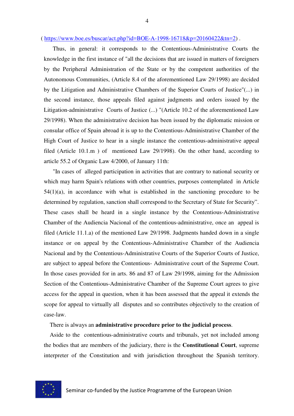( https://www.boe.es/buscar/act.php?id=BOE-A-1998-16718&p=20160422&tn=2) .

Thus, in general: it corresponds to the Contentious-Administrative Courts the knowledge in the first instance of "all the decisions that are issued in matters of foreigners by the Peripheral Administration of the State or by the competent authorities of the Autonomous Communities, (Article 8.4 of the aforementioned Law 29/1998) are decided by the Litigation and Administrative Chambers of the Superior Courts of Justice"(...) in the second instance, those appeals filed against judgments and orders issued by the Litigation-administrative Courts of Justice (...) "(Article 10.2 of the aforementioned Law 29/1998). When the administrative decision has been issued by the diplomatic mission or consular office of Spain abroad it is up to the Contentious-Administrative Chamber of the High Court of Justice to hear in a single instance the contentious-administrative appeal filed (Article 10.1.m ) of mentioned Law 29/1998). On the other hand, according to article 55.2 of Organic Law 4/2000, of January 11th:

"In cases of alleged participation in activities that are contrary to national security or which may harm Spain's relations with other countries, purposes contemplated in Article 54(1)(a), in accordance with what is established in the sanctioning procedure to be determined by regulation, sanction shall correspond to the Secretary of State for Security". These cases shall be heard in a single instance by the Contentious-Administrative Chamber of the Audiencia Nacional of the contentious-administrative, once an appeal is filed (Article 11.1.a) of the mentioned Law 29/1998. Judgments handed down in a single instance or on appeal by the Contentious-Administrative Chamber of the Audiencia Nacional and by the Contentious-Administrative Courts of the Superior Courts of Justice, are subject to appeal before the Contentious- Administrative court of the Supreme Court. In those cases provided for in arts. 86 and 87 of Law 29/1998, aiming for the Admission Section of the Contentious-Administrative Chamber of the Supreme Court agrees to give access for the appeal in question, when it has been assessed that the appeal it extends the scope for appeal to virtually all disputes and so contributes objectively to the creation of case-law.

#### There is always an **administrative procedure prior to the judicial process**.

 Aside to the contentious-administrative courts and tribunals, yet not included among the bodies that are members of the judiciary, there is the **Constitutional Court**, supreme interpreter of the Constitution and with jurisdiction throughout the Spanish territory.

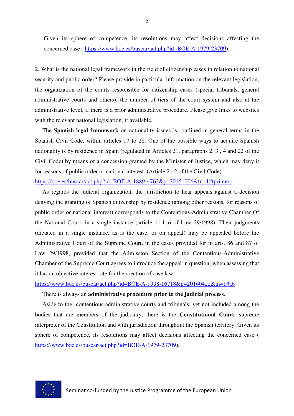Given its sphere of competence, its resolutions may affect decisions affecting the concerned case ( https://www.boe.es/buscar/act.php?id=BOE-A-1979-23709).

2. What is the national legal framework in the field of citizenship cases in relation to national security and public order? Please provide in particular information on the relevant legislation, the organization of the courts responsible for citizenship cases (special tribunals, general administrative courts and others), the number of tiers of the court system and also at the administrative level, if there is a prior administrative procedure. Please give links to websites with the relevant national legislation, if available.

 The **Spanish legal framework** on nationality issues is outlined in general terms in the Spanish Civil Code, within articles 17 to 28. One of the possible ways to acquire Spanish nationality is by residence in Spain (regulated in Articles 21, paragraphs 2, 3 , 4 and 22 of the Civil Code) by means of a concession granted by the Minister of Justice, which may deny it for reasons of public order or national interest. (Article 21.2 of the Civil Code).

https://boe.es/buscar/act.php?id=BOE-A-1889-4763&p=20151006&tn=1#tprimero

 As regards the judicial organization, the jurisdiction to hear appeals against a decision denying the granting of Spanish citizenship by residence (among other reasons, for reasons of public order or national interest) corresponds to the Contentious-Administrative Chamber Of the National Court, in a single instance (article 11.1.a) of Law 29/1998). Their judgments (dictated in a single instance, as is the case, or on appeal) may be appealed before the Administrative Court of the Supreme Court, in the cases provided for in arts. 86 and 87 of Law 29/1998, provided that the Admission Section of the Contentious-Administrative Chamber of the Supreme Court agrees to introduce the appeal in question, when assessing that it has an objective interest rate for the creation of case law.

#### https://www.boe.es/buscar/act.php?id=BOE-A-1998-16718&p=20160422&tn=1#a6

#### There is always an **administrative procedure prior to the judicial process**.

 Aside to the contentious-administrative courts and tribunals, yet not included among the bodies that are members of the judiciary, there is the **Constitutional Court**, supreme interpreter of the Constitution and with jurisdiction throughout the Spanish territory. Given its sphere of competence, its resolutions may affect decisions affecting the concerned case ( https://www.boe.es/buscar/act.php?id=BOE-A-1979-23709).

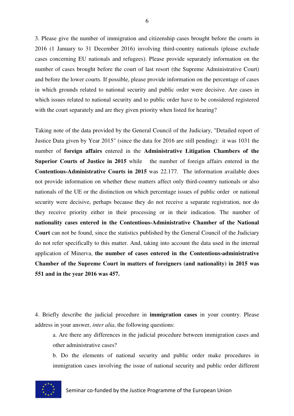3. Please give the number of immigration and citizenship cases brought before the courts in 2016 (1 January to 31 December 2016) involving third-country nationals (please exclude cases concerning EU nationals and refugees). Please provide separately information on the number of cases brought before the court of last resort (the Supreme Administrative Court) and before the lower courts. If possible, please provide information on the percentage of cases in which grounds related to national security and public order were decisive. Are cases in which issues related to national security and to public order have to be considered registered with the court separately and are they given priority when listed for hearing?

Taking note of the data provided by the General Council of the Judiciary, "Detailed report of Justice Data given by Year 2015" (since the data for 2016 are still pending): it was 1031 the number of **foreign affairs** entered in the **Administrative Litigation Chambers of the Superior Courts of Justice in 2015** while the number of foreign affairs entered in the **Contentious-Administrative Courts in 2015** was 22.177. The information available does not provide information on whether these matters affect only third-country nationals or also nationals of the UE or the distinction on which percentage issues of public order or national security were decisive, perhaps because they do not receive a separate registration, nor do they receive priority either in their processing or in their indication. The number of **nationality cases entered in the Contentious-Administrative Chamber of the National Court** can not be found, since the statistics published by the General Council of the Judiciary do not refer specifically to this matter. And, taking into account the data used in the internal application of Minerva, **the number of cases entered in the Contentious-administrative Chamber of the Supreme Court in matters of foreigners (and nationality) in 2015 was 551 and in the year 2016 was 457.** 

4. Briefly describe the judicial procedure in **immigration cases** in your country. Please address in your answer, *inter alia*, the following questions:

a. Are there any differences in the judicial procedure between immigration cases and other administrative cases?

b. Do the elements of national security and public order make procedures in immigration cases involving the issue of national security and public order different

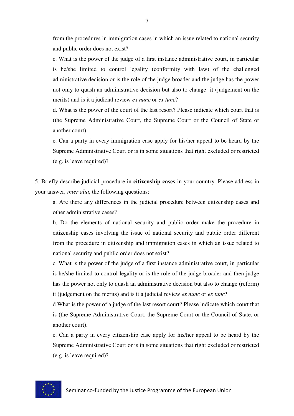from the procedures in immigration cases in which an issue related to national security and public order does not exist?

c. What is the power of the judge of a first instance administrative court, in particular is he/she limited to control legality (conformity with law) of the challenged administrative decision or is the role of the judge broader and the judge has the power not only to quash an administrative decision but also to change it (judgement on the merits) and is it a judicial review *ex nunc* or *ex tunc*?

d. What is the power of the court of the last resort? Please indicate which court that is (the Supreme Administrative Court, the Supreme Court or the Council of State or another court).

e. Can a party in every immigration case apply for his/her appeal to be heard by the Supreme Administrative Court or is in some situations that right excluded or restricted (e.g. is leave required)?

5. Briefly describe judicial procedure in **citizenship cases** in your country. Please address in your answer, *inter alia*, the following questions:

a. Are there any differences in the judicial procedure between citizenship cases and other administrative cases?

b. Do the elements of national security and public order make the procedure in citizenship cases involving the issue of national security and public order different from the procedure in citizenship and immigration cases in which an issue related to national security and public order does not exist?

c. What is the power of the judge of a first instance administrative court, in particular is he/she limited to control legality or is the role of the judge broader and then judge has the power not only to quash an administrative decision but also to change (reform) it (judgement on the merits) and is it a judicial review *ex nunc* or *ex tunc*?

d What is the power of a judge of the last resort court? Please indicate which court that is (the Supreme Administrative Court, the Supreme Court or the Council of State, or another court).

e. Can a party in every citizenship case apply for his/her appeal to be heard by the Supreme Administrative Court or is in some situations that right excluded or restricted (e.g. is leave required)?

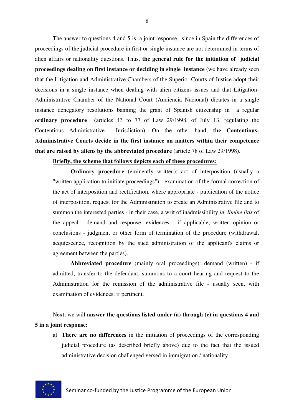The answer to questions 4 and 5 is a joint response, since in Spain the differences of proceedings of the judicial procedure in first or single instance are not determined in terms of alien affairs or nationality questions. Thus, **the general rule for the initiation of judicial proceedings dealing on first instance or deciding in single instance** (we have already seen that the Litigation and Administrative Chambers of the Superior Courts of Justice adopt their decisions in a single instance when dealing with alien citizens issues and that Litigation-Administrative Chamber of the National Court (Audiencia Nacional) dictates in a single instance denegatory resolutions banning the grant of Spanish citizenship in a regular **ordinary procedure** (articles 43 to 77 of Law 29/1998, of July 13, regulating the Contentious Administrative Jurisdiction). On the other hand, **the Contentious-Administrative Courts decide in the first instance on matters within their competence that are raised by aliens by the abbreviated procedure** (article 78 of Law 29/1998).

### **Briefly, the scheme that follows depicts each of these procedures:**

**Ordinary procedure** (eminently written): act of interposition (usually a "written application to initiate proceedings") - examination of the formal correction of the act of interposition and rectification, where appropriate - publication of the notice of interposition, request for the Administration to create an Administrative file and to summon the interested parties - in their case, a writ of inadmissibility *in limine litis* of the appeal - demand and response -evidences - if applicable, written opinion or conclusions - judgment or other form of termination of the procedure (withdrawal, acquiescence, recognition by the sued administration of the applicant's claims or agreement between the parties).

**Abbreviated procedure** (mainly oral proceedings): demand (written) - if admitted, transfer to the defendant, summons to a court hearing and request to the Administration for the remission of the administrative file - usually seen, with examination of evidences, if pertinent.

Next, we will **answer the questions listed under (a) through (e) in questions 4 and 5 in a joint response:**

a) **There are no differences** in the initiation of proceedings of the corresponding judicial procedure (as described briefly above) due to the fact that the issued administrative decision challenged versed in immigration / nationality

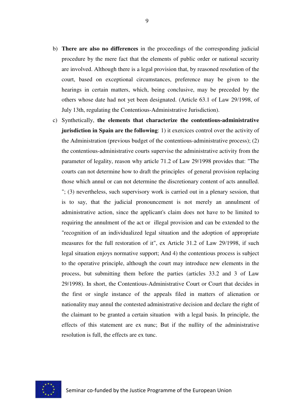- b) **There are also no differences** in the proceedings of the corresponding judicial procedure by the mere fact that the elements of public order or national security are involved. Although there is a legal provision that, by reasoned resolution of the court, based on exceptional circumstances, preference may be given to the hearings in certain matters, which, being conclusive, may be preceded by the others whose date had not yet been designated. (Article 63.1 of Law 29/1998, of July 13th, regulating the Contentious-Administrative Jurisdiction).
- c) Synthetically, **the elements that characterize the contentious-administrative jurisdiction in Spain are the following**: 1) it exercices control over the activity of the Administration (previous budget of the contentious-administrative process); (2) the contentious-administrative courts supervise the administrative activity from the parameter of legality, reason why article 71.2 of Law 29/1998 provides that: "The courts can not determine how to draft the principles of general provision replacing those which annul or can not determine the discretionary content of acts annulled. "; (3) nevertheless, such supervisory work is carried out in a plenary session, that is to say, that the judicial pronouncement is not merely an annulment of administrative action, since the applicant's claim does not have to be limited to requiring the annulment of the act or illegal provision and can be extended to the "recognition of an individualized legal situation and the adoption of appropriate measures for the full restoration of it", ex Article 31.2 of Law 29/1998, if such legal situation enjoys normative support; And 4) the contentious process is subject to the operative principle, although the court may introduce new elements in the process, but submitting them before the parties (articles 33.2 and 3 of Law 29/1998). In short, the Contentious-Administrative Court or Court that decides in the first or single instance of the appeals filed in matters of alienation or nationality may annul the contested administrative decision and declare the right of the claimant to be granted a certain situation with a legal basis. In principle, the effects of this statement are ex nunc; But if the nullity of the administrative resolution is full, the effects are ex tunc.

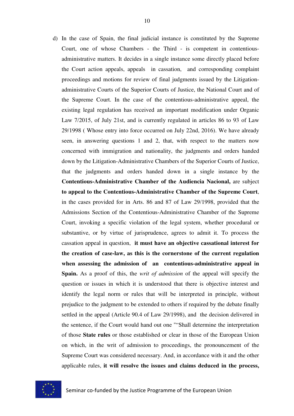d) In the case of Spain, the final judicial instance is constituted by the Supreme Court, one of whose Chambers - the Third - is competent in contentiousadministrative matters. It decides in a single instance some directly placed before the Court action appeals, appeals in cassation, and corresponding complaint proceedings and motions for review of final judgments issued by the Litigationadministrative Courts of the Superior Courts of Justice, the National Court and of the Supreme Court. In the case of the contentious-administrative appeal, the existing legal regulation has received an important modification under Organic Law 7/2015, of July 21st, and is currently regulated in articles 86 to 93 of Law 29/1998 ( Whose entry into force occurred on July 22nd, 2016). We have already seen, in answering questions 1 and 2, that, with respect to the matters now concerned with immigration and nationality, the judgments and orders handed down by the Litigation-Administrative Chambers of the Superior Courts of Justice, that the judgments and orders handed down in a single instance by the **Contentious-Administrative Chamber of the Audiencia Nacional,** are subject **to appeal to the Contentious-Administrative Chamber of the Supreme Court**, in the cases provided for in Arts. 86 and 87 of Law 29/1998, provided that the Admissions Section of the Contentious-Administrative Chamber of the Supreme Court, invoking a specific violation of the legal system, whether procedural or substantive, or by virtue of jurisprudence, agrees to admit it. To process the cassation appeal in question, **it must have an objective cassational interest for the creation of case-law, as this is the cornerstone of the current regulation when assessing the admission of an contentious-administrative appeal in Spain.** As a proof of this, the *writ of admission* of the appeal will specify the question or issues in which it is understood that there is objective interest and identify the legal norm or rules that will be interpreted in principle, without prejudice to the judgment to be extended to others if required by the debate finally settled in the appeal (Article 90.4 of Law 29/1998), and the decision delivered in the sentence, if the Court would hand out one ""Shall determine the interpretation of those **State rules** or those established or clear in those of the European Union on which, in the writ of admission to proceedings, the pronouncement of the Supreme Court was considered necessary. And, in accordance with it and the other applicable rules, **it will resolve the issues and claims deduced in the process,** 

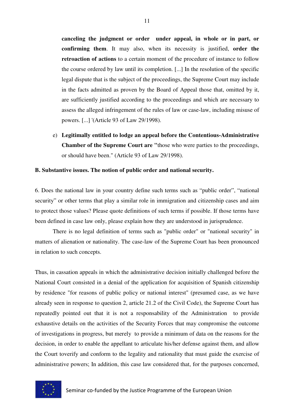**canceling the judgment or order under appeal, in whole or in part, or confirming them**. It may also, when its necessity is justified, **order the retroaction of actions** to a certain moment of the procedure of instance to follow the course ordered by law until its completion. [...] In the resolution of the specific legal dispute that is the subject of the proceedings, the Supreme Court may include in the facts admitted as proven by the Board of Appeal those that, omitted by it, are sufficiently justified according to the proceedings and which are necessary to assess the alleged infringement of the rules of law or case-law, including misuse of powers. [...] '(Article 93 of Law 29/1998).

e) **Legitimally entitled to lodge an appeal before the Contentious-Administrative Chamber of the Supreme Court are "**those who were parties to the proceedings, or should have been." (Article 93 of Law 29/1998).

#### **B. Substantive issues. The notion of public order and national security.**

6. Does the national law in your country define such terms such as "public order", "national security" or other terms that play a similar role in immigration and citizenship cases and aim to protect those values? Please quote definitions of such terms if possible. If those terms have been defined in case law only, please explain how they are understood in jurisprudence.

 There is no legal definition of terms such as "public order" or "national security" in matters of alienation or nationality. The case-law of the Supreme Court has been pronounced in relation to such concepts.

Thus, in cassation appeals in which the administrative decision initially challenged before the National Court consisted in a denial of the application for acquisition of Spanish citizenship by residence "for reasons of public policy or national interest" (presumed case, as we have already seen in response to question 2, article 21.2 of the Civil Code), the Supreme Court has repeatedly pointed out that it is not a responsability of the Administration to provide exhaustive details on the activities of the Security Forces that may compromise the outcome of investigations in progress, but merely to provide a minimum of data on the reasons for the decision, in order to enable the appellant to articulate his/her defense against them, and allow the Court toverify and conform to the legality and rationality that must guide the exercise of administrative powers; In addition, this case law considered that, for the purposes concerned,

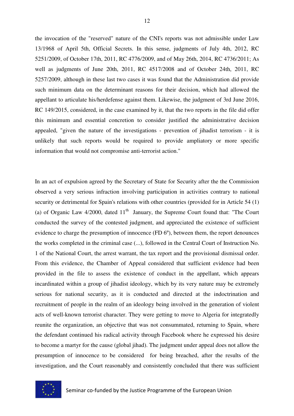the invocation of the "reserved" nature of the CNI's reports was not admissible under Law 13/1968 of April 5th, Official Secrets. In this sense, judgments of July 4th, 2012, RC 5251/2009, of October 17th, 2011, RC 4776/2009, and of May 26th, 2014, RC 4736/2011; As well as judgments of June 20th, 2011, RC 4517/2008 and of October 24th, 2011, RC 5257/2009, although in these last two cases it was found that the Administration did provide such minimum data on the determinant reasons for their decision, which had allowed the appellant to articulate his/herdefense against them. Likewise, the judgment of 3rd June 2016, RC 149/2015, considered, in the case examined by it, that the two reports in the file did offer this minimum and essential concretion to consider justified the administrative decision appealed, "given the nature of the investigations - prevention of jihadist terrorism - it is unlikely that such reports would be required to provide ampliatory or more specific information that would not compromise anti-terrorist action."

In an act of expulsion agreed by the Secretary of State for Security after the the Commission observed a very serious infraction involving participation in activities contrary to national security or detrimental for Spain's relations with other countries (provided for in Article 54 (1) (a) of Organic Law  $4/2000$ , dated  $11<sup>th</sup>$  January, the Supreme Court found that: "The Court conducted the survey of the contested judgment, and appreciated the existence of sufficient evidence to charge the presumption of innocence (FD 6º), between them, the report denounces the works completed in the criminal case (...), followed in the Central Court of Instruction No. 1 of the National Court, the arrest warrant, the tax report and the provisional dismissal order. From this evidence, the Chamber of Appeal considered that sufficient evidence had been provided in the file to assess the existence of conduct in the appellant, which appears incardinated within a group of jihadist ideology, which by its very nature may be extremely serious for national security, as it is conducted and directed at the indoctrination and recruitment of people in the realm of an ideology being involved in the generation of violent acts of well-known terrorist character. They were getting to move to Algeria for integratedly reunite the organization, an objective that was not consummated, returning to Spain, where the defendant continued his radical activity through Facebook where he expressed his desire to become a martyr for the cause (global jihad). The judgment under appeal does not allow the presumption of innocence to be considered for being breached, after the results of the investigation, and the Court reasonably and consistently concluded that there was sufficient

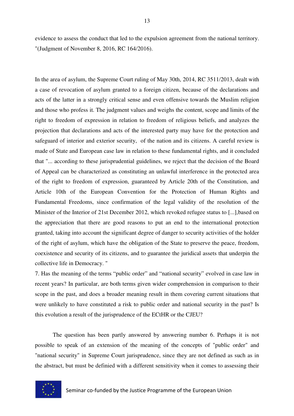evidence to assess the conduct that led to the expulsion agreement from the national territory. "(Judgment of November 8, 2016, RC 164/2016).

In the area of asylum, the Supreme Court ruling of May 30th, 2014, RC 3511/2013, dealt with a case of revocation of asylum granted to a foreign citizen, because of the declarations and acts of the latter in a strongly critical sense and even offensive towards the Muslim religion and those who profess it. The judgment values and weighs the content, scope and limits of the right to freedom of expression in relation to freedom of religious beliefs, and analyzes the projection that declarations and acts of the interested party may have for the protection and safeguard of interior and exterior security, of the nation and its citizens. A careful review is made of State and European case law in relation to these fundamental rights, and it concluded that "... according to these jurisprudential guidelines, we reject that the decision of the Board of Appeal can be characterized as constituting an unlawful interference in the protected area of the right to freedom of expression, guaranteed by Article 20th of the Constitution, and Article 10th of the European Convention for the Protection of Human Rights and Fundamental Freedoms, since confirmation of the legal validity of the resolution of the Minister of the Interior of 21st December 2012, which revoked refugee status to [...],based on the appreciation that there are good reasons to put an end to the international protection granted, taking into account the significant degree of danger to security activities of the holder of the right of asylum, which have the obligation of the State to preserve the peace, freedom, coexistence and security of its citizens, and to guarantee the juridical assets that underpin the collective life in Democracy. "

7. Has the meaning of the terms "public order" and "national security" evolved in case law in recent years? In particular, are both terms given wider comprehension in comparison to their scope in the past, and does a broader meaning result in them covering current situations that were unlikely to have constituted a risk to public order and national security in the past? Is this evolution a result of the jurisprudence of the ECtHR or the CJEU?

 The question has been partly answered by answering number 6. Perhaps it is not possible to speak of an extension of the meaning of the concepts of "public order" and "national security" in Supreme Court jurisprudence, since they are not defined as such as in the abstract, but must be definied with a different sensitivity when it comes to assessing their

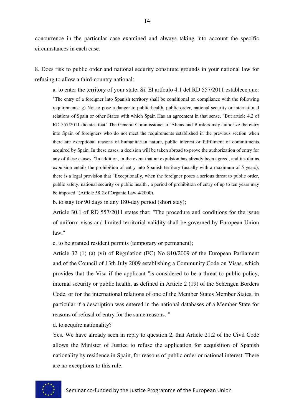concurrence in the particular case examined and always taking into account the specific circumstances in each case.

8. Does risk to public order and national security constitute grounds in your national law for refusing to allow a third-country national:

a. to enter the territory of your state; Sí. El artículo 4.1 del RD 557/2011 establece que: "The entry of a foreigner into Spanish territory shall be conditional on compliance with the following requirements: g) Not to pose a danger to public health, public order, national security or international relations of Spain or other States with which Spain Has an agreement in that sense. "But article 4.2 of RD 557/2011 dictates that" The General Commissioner of Aliens and Borders may authorize the entry into Spain of foreigners who do not meet the requirements established in the previous section when there are exceptional reasons of humanitarian nature, public interest or fulfillment of commitments acquired by Spain. In these cases, a decision will be taken abroad to prove the authorization of entry for any of these causes. "In addition, in the event that an expulsion has already been agreed, and insofar as expulsion entails the prohibition of entry into Spanish territory (usually with a maximum of 5 years), there is a legal provision that "Exceptionally, when the foreigner poses a serious threat to public order, public safety, national security or public health , a period of prohibition of entry of up to ten years may be imposed "(Article 58.2 of Organic Law 4/2000).

b. to stay for 90 days in any 180-day period (short stay);

Article 30.1 of RD 557/2011 states that: "The procedure and conditions for the issue of uniform visas and limited territorial validity shall be governed by European Union law."

c. to be granted resident permits (temporary or permanent);

Article 32 (1) (a) (vi) of Regulation (EC) No 810/2009 of the European Parliament and of the Council of 13th July 2009 establishing a Community Code on Visas, which provides that the Visa if the applicant "is considered to be a threat to public policy, internal security or public health, as defined in Article 2 (19) of the Schengen Borders Code, or for the international relations of one of the Member States Member States, in particular if a description was entered in the national databases of a Member State for reasons of refusal of entry for the same reasons. "

d. to acquire nationality?

Yes. We have already seen in reply to question 2, that Article 21.2 of the Civil Code allows the Minister of Justice to refuse the application for acquisition of Spanish nationality by residence in Spain, for reasons of public order or national interest. There are no exceptions to this rule.

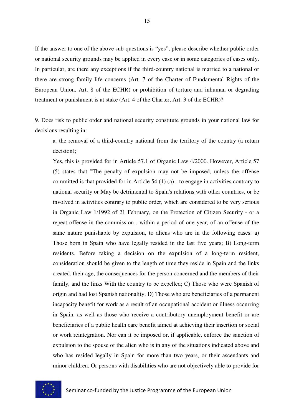If the answer to one of the above sub-questions is "yes", please describe whether public order or national security grounds may be applied in every case or in some categories of cases only. In particular, are there any exceptions if the third-country national is married to a national or there are strong family life concerns (Art. 7 of the Charter of Fundamental Rights of the European Union, Art. 8 of the ECHR) or prohibition of torture and inhuman or degrading treatment or punishment is at stake (Art. 4 of the Charter, Art. 3 of the ECHR)?

9. Does risk to public order and national security constitute grounds in your national law for decisions resulting in:

a. the removal of a third-country national from the territory of the country (a return decision);

Yes, this is provided for in Article 57.1 of Organic Law 4/2000. However, Article 57 (5) states that "The penalty of expulsion may not be imposed, unless the offense committed is that provided for in Article 54 (1) (a) - to engage in activities contrary to national security or May be detrimental to Spain's relations with other countries, or be involved in activities contrary to public order, which are considered to be very serious in Organic Law 1/1992 of 21 February, on the Protection of Citizen Security - or a repeat offense in the commission , within a period of one year, of an offense of the same nature punishable by expulsion, to aliens who are in the following cases: a) Those born in Spain who have legally resided in the last five years; B) Long-term residents. Before taking a decision on the expulsion of a long-term resident, consideration should be given to the length of time they reside in Spain and the links created, their age, the consequences for the person concerned and the members of their family, and the links With the country to be expelled; C) Those who were Spanish of origin and had lost Spanish nationality; D) Those who are beneficiaries of a permanent incapacity benefit for work as a result of an occupational accident or illness occurring in Spain, as well as those who receive a contributory unemployment benefit or are beneficiaries of a public health care benefit aimed at achieving their insertion or social or work reintegration. Nor can it be imposed or, if applicable, enforce the sanction of expulsion to the spouse of the alien who is in any of the situations indicated above and who has resided legally in Spain for more than two years, or their ascendants and minor children, Or persons with disabilities who are not objectively able to provide for

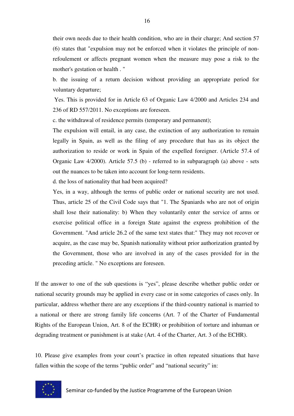their own needs due to their health condition, who are in their charge; And section 57 (6) states that "expulsion may not be enforced when it violates the principle of nonrefoulement or affects pregnant women when the measure may pose a risk to the mother's gestation or health . "

b. the issuing of a return decision without providing an appropriate period for voluntary departure;

 Yes. This is provided for in Article 63 of Organic Law 4/2000 and Articles 234 and 236 of RD 557/2011. No exceptions are foreseen.

c. the withdrawal of residence permits (temporary and permanent);

The expulsion will entail, in any case, the extinction of any authorization to remain legally in Spain, as well as the filing of any procedure that has as its object the authorization to reside or work in Spain of the expelled foreigner. (Article 57.4 of Organic Law 4/2000). Article 57.5 (b) - referred to in subparagraph (a) above - sets out the nuances to be taken into account for long-term residents.

d. the loss of nationality that had been acquired?

Yes, in a way, although the terms of public order or national security are not used. Thus, article 25 of the Civil Code says that "1. The Spaniards who are not of origin shall lose their nationality: b) When they voluntarily enter the service of arms or exercise political office in a foreign State against the express prohibition of the Government. "And article 26.2 of the same text states that:" They may not recover or acquire, as the case may be, Spanish nationality without prior authorization granted by the Government, those who are involved in any of the cases provided for in the preceding article. " No exceptions are foreseen.

If the answer to one of the sub questions is "yes", please describe whether public order or national security grounds may be applied in every case or in some categories of cases only. In particular, address whether there are any exceptions if the third-country national is married to a national or there are strong family life concerns (Art. 7 of the Charter of Fundamental Rights of the European Union, Art. 8 of the ECHR) or prohibition of torture and inhuman or degrading treatment or punishment is at stake (Art. 4 of the Charter, Art. 3 of the ECHR).

10. Please give examples from your court's practice in often repeated situations that have fallen within the scope of the terms "public order" and "national security" in:

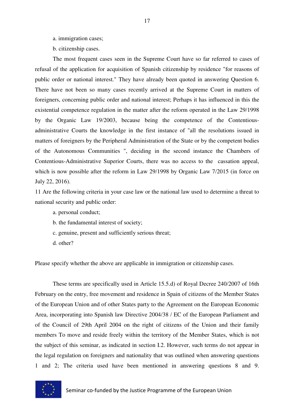a. immigration cases;

b. citizenship cases.

The most frequent cases seen in the Supreme Court have so far referred to cases of refusal of the application for acquisition of Spanish citizenship by residence "for reasons of public order or national interest." They have already been quoted in answering Question 6. There have not been so many cases recently arrived at the Supreme Court in matters of foreigners, concerning public order and national interest; Perhaps it has influenced in this the existential competence regulation in the matter after the reform operated in the Law 29/1998 by the Organic Law 19/2003, because being the competence of the Contentiousadministrative Courts the knowledge in the first instance of "all the resolutions issued in matters of foreigners by the Peripheral Administration of the State or by the competent bodies of the Autonomous Communities ", deciding in the second instance the Chambers of Contentious-Administrative Superior Courts, there was no access to the cassation appeal, which is now possible after the reform in Law 29/1998 by Organic Law 7/2015 (in force on July 22, 2016).

11 Are the following criteria in your case law or the national law used to determine a threat to national security and public order:

- a. personal conduct;
- b. the fundamental interest of society;
- c. genuine, present and sufficiently serious threat;
- d. other?

Please specify whether the above are applicable in immigration or citizenship cases.

These terms are specifically used in Article 15.5.d) of Royal Decree 240/2007 of 16th February on the entry, free movement and residence in Spain of citizens of the Member States of the European Union and of other States party to the Agreement on the European Economic Area, incorporating into Spanish law Directive 2004/38 / EC of the European Parliament and of the Council of 29th April 2004 on the right of citizens of the Union and their family members To move and reside freely within the territory of the Member States, which is not the subject of this seminar, as indicated in section I.2. However, such terms do not appear in the legal regulation on foreigners and nationality that was outlined when answering questions 1 and 2; The criteria used have been mentioned in answering questions 8 and 9.

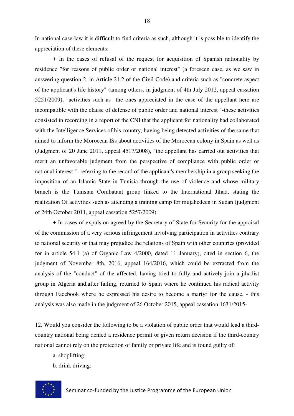In national case-law it is difficult to find criteria as such, although it is possible to identify the appreciation of these elements:

+ In the cases of refusal of the request for acquisition of Spanish nationality by residence "for reasons of public order or national interest" (a foreseen case, as we saw in answering question 2, in Article 21.2 of the Civil Code) and criteria such as "concrete aspect of the applicant's life history" (among others, in judgment of 4th July 2012, appeal cassation 5251/2009), "activities such as the ones appreciated in the case of the appellant here are incompatible with the clause of defense of public order and national interest "-these activities consisted in recording in a report of the CNI that the applicant for nationality had collaborated with the Intelligence Services of his country, having being detected activities of the same that aimed to inform the Moroccan ISs about activities of the Moroccan colony in Spain as well as (Judgment of 20 June 2011, appeal 4517/2008), "the appellant has carried out activities that merit an unfavorable judgment from the perspective of compliance with public order or national interest "- referring to the record of the applicant's membership in a group seeking the imposition of an Islamic State in Tunisia through the use of violence and whose military branch is the Tunisian Combatant group linked to the International Jihad, stating the realization Of activities such as attending a training camp for mujahedeen in Sudan (judgment of 24th October 2011, appeal cassation 5257/2009).

+ In cases of expulsion agreed by the Secretary of State for Security for the appraisal of the commission of a very serious infringement involving participation in activities contrary to national security or that may prejudice the relations of Spain with other countries (provided for in article 54.1 (a) of Organic Law 4/2000, dated 11 January), cited in section 6, the judgment of November 8th, 2016, appeal 164/2016, which could be extracted from the analysis of the "conduct" of the affected, having tried to fully and actively join a jihadist group in Algeria and,after failing, returned to Spain where he continued his radical activity through Facebook where he expressed his desire to become a martyr for the cause. - this analysis was also made in the judgment of 26 October 2015, appeal cassation 1631/2015-

12. Would you consider the following to be a violation of public order that would lead a thirdcountry national being denied a residence permit or given return decision if the third-country national cannot rely on the protection of family or private life and is found guilty of:

- a. shoplifting;
- b. drink driving;

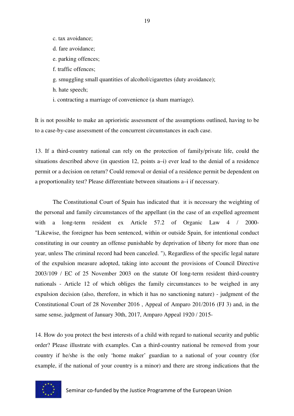- c. tax avoidance;
- d. fare avoidance;
- e. parking offences;
- f. traffic offences;
- g. smuggling small quantities of alcohol/cigarettes (duty avoidance);
- h. hate speech;
- i. contracting a marriage of convenience (a sham marriage).

It is not possible to make an aprioristic assessment of the assumptions outlined, having to be to a case-by-case assessment of the concurrent circumstances in each case.

13. If a third-country national can rely on the protection of family/private life, could the situations described above (in question 12, points a–i) ever lead to the denial of a residence permit or a decision on return? Could removal or denial of a residence permit be dependent on a proportionality test? Please differentiate between situations a–i if necessary.

 The Constitutional Court of Spain has indicated that it is necessary the weighting of the personal and family circumstances of the appellant (in the case of an expelled agreement with a long-term resident ex Article 57.2 of Organic Law 4 / 2000-"Likewise, the foreigner has been sentenced, within or outside Spain, for intentional conduct constituting in our country an offense punishable by deprivation of liberty for more than one year, unless The criminal record had been canceled. "), Regardless of the specific legal nature of the expulsion measure adopted, taking into account the provisions of Council Directive 2003/109 / EC of 25 November 2003 on the statute Of long-term resident third-country nationals - Article 12 of which obliges the family circumstances to be weighed in any expulsion decision (also, therefore, in which it has no sanctioning nature) - judgment of the Constitutional Court of 28 November 2016 , Appeal of Amparo 201/2016 (FJ 3) and, in the same sense, judgment of January 30th, 2017, Amparo Appeal 1920 / 2015-

14. How do you protect the best interests of a child with regard to national security and public order? Please illustrate with examples. Can a third-country national be removed from your country if he/she is the only 'home maker' guardian to a national of your country (for example, if the national of your country is a minor) and there are strong indications that the

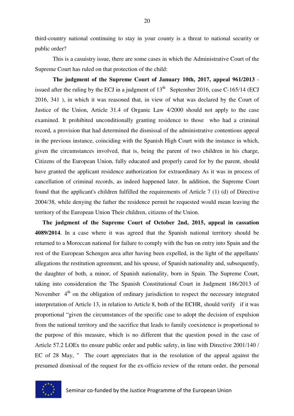third-country national continuing to stay in your county is a threat to national security or public order?

This is a casuistry issue, there are some cases in which the Administrative Court of the Supreme Court has ruled on that protection of the child:

**The judgment of the Supreme Court of January 10th, 2017, appeal 961/2013** issued after the ruling by the ECJ in a judgment of  $13<sup>th</sup>$  September 2016, case C-165/14 (ECJ 2016, 341 ), in which it was reasoned that, in view of what was declared by the Court of Justice of the Union, Article 31.4 of Organic Law 4/2000 should not apply to the case examined. It prohibited unconditionally granting residence to those who had a criminal record, a provision that had determined the dismissal of the administrative contentious appeal in the previous instance, coinciding with the Spanish High Court with the instance in which, given the circumstances involved, that is, being the parent of two children in his charge, Citizens of the European Union, fully educated and properly cared for by the parent, should have granted the applicant residence authorization for extraordinary As it was in process of cancellation of criminal records, as indeed happened later. In addition, the Supreme Court found that the applicant's children fulfilled the requirements of Article 7 (1) (d) of Directive 2004/38, while denying the father the residence permit he requested would mean leaving the territory of the European Union Their children, citizens of the Union.

 **The judgment of the Supreme Court of October 2nd, 2015, appeal in cassation 4089/2014**. In a case where it was agreed that the Spanish national territory should be returned to a Moroccan national for failure to comply with the ban on entry into Spain and the rest of the European Schengen area after having been expelled, in the light of the appellants' allegations the restitution agreement, and his spouse, of Spanish nationality and, subsequently, the daughter of both, a minor, of Spanish nationality, born in Spain. The Supreme Court, taking into consideration the The Spanish Constitutional Court in Judgment 186/2013 of November  $4<sup>th</sup>$  on the obligation of ordinary jurisdiction to respect the necessary integrated interpretation of Article 13, in relation to Article 8, both of the ECHR, should verify if it was proportional "given the circumstances of the specific case to adopt the decision of expulsion from the national territory and the sacrifice that leads to family coexistence is proportional to the purpose of this measure, which is no different that the question posed in the case of Article 57.2 LOEx tto ensure public order and public safety, in line with Directive 2001/140 / EC of 28 May, " The court appreciates that in the resolution of the appeal against the presumed dismissal of the request for the ex-officio review of the return order, the personal

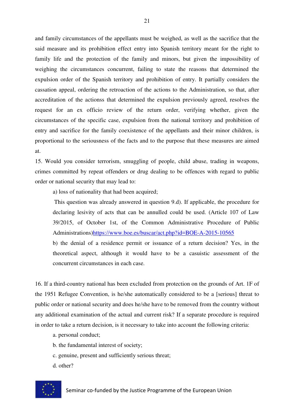and family circumstances of the appellants must be weighed, as well as the sacrifice that the said measure and its prohibition effect entry into Spanish territory meant for the right to family life and the protection of the family and minors, but given the impossibility of weighing the circumstances concurrent, failing to state the reasons that determined the expulsion order of the Spanish territory and prohibition of entry. It partially considers the cassation appeal, ordering the retroaction of the actions to the Administration, so that, after accreditation of the actionss that determined the expulsion previously agreed, resolves the request for an ex officio review of the return order, verifying whether, given the circumstances of the specific case, expulsion from the national territory and prohibition of entry and sacrifice for the family coexistence of the appellants and their minor children, is proportional to the seriousness of the facts and to the purpose that these measures are aimed at.

15. Would you consider terrorism, smuggling of people, child abuse, trading in weapons, crimes committed by repeat offenders or drug dealing to be offences with regard to public order or national security that may lead to:

a) loss of nationality that had been acquired;

 This question was already answered in question 9.d). If applicable, the procedure for declaring lesivity of acts that can be annulled could be used. (Article 107 of Law 39/2015, of October 1st, of the Common Administrative Procedure of Public Administrations)https://www.boe.es/buscar/act.php?id=BOE-A-2015-10565

b) the denial of a residence permit or issuance of a return decision? Yes, in the theoretical aspect, although it would have to be a casuistic assessment of the concurrent circumstances in each case.

16. If a third-country national has been excluded from protection on the grounds of Art. 1F of the 1951 Refugee Convention, is he/she automatically considered to be a [serious] threat to public order or national security and does he/she have to be removed from the country without any additional examination of the actual and current risk? If a separate procedure is required in order to take a return decision, is it necessary to take into account the following criteria:

- a. personal conduct;
- b. the fundamental interest of society;
- c. genuine, present and sufficiently serious threat;
- d. other?

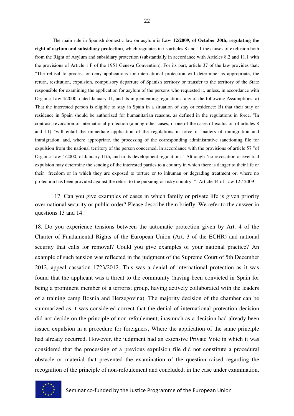The main rule in Spanish domestic law on asylum is **Law 12/2009, of October 30th, regulating the right of asylum and subsidiary protection**, which regulates in its articles 8 and 11 the causes of exclusion both from the Right of Asylum and subsidiary protection (substantially in accordance with Articles 8.2 and 11.1 with the provisions of Article 1.F of the 1951 Geneva Convention). For its part, article 37 of the law provides that: "The refusal to process or deny applications for international protection will determine, as appropriate, the return, restitution, expulsion, compulsory departure of Spanish territory or transfer to the territory of the State responsible for examining the application for asylum of the persons who requested it, unless, in accordance with Organic Law 4/2000, dated January 11, and its implementing regulations, any of the following Assumptions: a) That the interested person is eligible to stay in Spain in a situation of stay or residence; B) that their stay or residence in Spain should be authorized for humanitarian reasons, as defined in the regulations in force. "In contrast, revocation of international protection (among other cases, if one of the cases of exclusion of articles 8 and 11) "will entail the immediate application of the regulations in force in matters of immigration and immigration, and, where appropriate, the processing of the corresponding administrative sanctioning file for expulsion from the national territory of the person concerned, in accordance with the provisions of article 57 "of Organic Law 4/2000, of January 11th, and in its development regulations." Although "no revocation or eventual expulsion may determine the sending of the interested parties to a country in which there is danger to their life or their freedom or in which they are exposed to torture or to inhuman or degrading treatment or, where no protection has been provided against the return to the pursuing or risky country. "- Article 44 of Law 12 / 2009

-17. Can you give examples of cases in which family or private life is given priority over national security or public order? Please describe them briefly. We refer to the answer in questions 13 and 14.

18. Do you experience tensions between the automatic protection given by Art. 4 of the Charter of Fundamental Rights of the European Union (Art. 3 of the ECHR) and national security that calls for removal? Could you give examples of your national practice? An example of such tension was reflected in the judgment of the Supreme Court of 5th December 2012, appeal cassation 1723/2012. This was a denial of international protection as it was found that the applicant was a threat to the community (having been convicted in Spain for being a prominent member of a terrorist group, having actively collaborated with the leaders of a training camp Bosnia and Herzegovina). The majority decision of the chamber can be summarized as it was considered correct that the denial of international protection decision did not decide on the principle of non-refoulement, inasmuch as a decision had already been issued expulsion in a procedure for foreigners, Where the application of the same principle had already occurred. However, the judgment had an extensive Private Vote in which it was considered that the processing of a previous expulsion file did not constitute a procedural obstacle or material that prevented the examination of the question raised regarding the recognition of the principle of non-refoulement and concluded, in the case under examination,

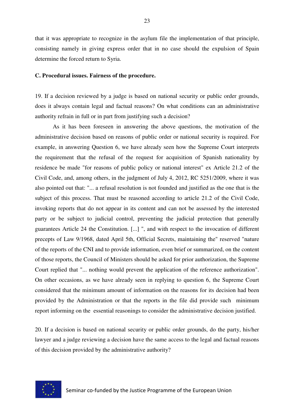that it was appropriate to recognize in the asylum file the implementation of that principle, consisting namely in giving express order that in no case should the expulsion of Spain determine the forced return to Syria.

#### **C. Procedural issues. Fairness of the procedure.**

19. If a decision reviewed by a judge is based on national security or public order grounds, does it always contain legal and factual reasons? On what conditions can an administrative authority refrain in full or in part from justifying such a decision?

 As it has been foreseen in answering the above questions, the motivation of the administrative decision based on reasons of public order or national security is required. For example, in answering Question 6, we have already seen how the Supreme Court interprets the requirement that the refusal of the request for acquisition of Spanish nationality by residence be made "for reasons of public policy or national interest" ex Article 21.2 of the Civil Code, and, among others, in the judgment of July 4, 2012, RC 5251/2009, where it was also pointed out that: "... a refusal resolution is not founded and justified as the one that is the subject of this process. That must be reasoned according to article 21.2 of the Civil Code, invoking reports that do not appear in its content and can not be assessed by the interested party or be subject to judicial control, preventing the judicial protection that generally guarantees Article 24 the Constitution. [...] ", and with respect to the invocation of different precepts of Law 9/1968, dated April 5th, Official Secrets, maintaining the" reserved "nature of the reports of the CNI and to provide information, even brief or summarized, on the content of those reports, the Council of Ministers should be asked for prior authorization, the Supreme Court replied that "... nothing would prevent the application of the reference authorization". On other occasions, as we have already seen in replying to question 6, the Supreme Court considered that the minimum amount of information on the reasons for its decision had been provided by the Administration or that the reports in the file did provide such minimum report informing on the essential reasonings to consider the administrative decision justified.

20. If a decision is based on national security or public order grounds, do the party, his/her lawyer and a judge reviewing a decision have the same access to the legal and factual reasons of this decision provided by the administrative authority?

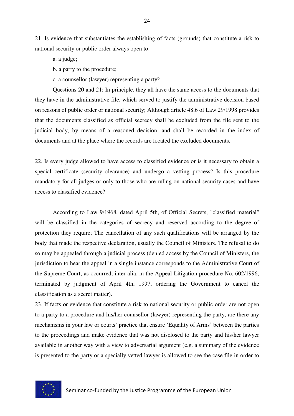21. Is evidence that substantiates the establishing of facts (grounds) that constitute a risk to national security or public order always open to:

a. a judge;

b. a party to the procedure;

c. a counsellor (lawyer) representing a party?

Questions 20 and 21: In principle, they all have the same access to the documents that they have in the administrative file, which served to justify the administrative decision based on reasons of public order or national security; Although article 48.6 of Law 29/1998 provides that the documents classified as official secrecy shall be excluded from the file sent to the judicial body, by means of a reasoned decision, and shall be recorded in the index of documents and at the place where the records are located the excluded documents.

22. Is every judge allowed to have access to classified evidence or is it necessary to obtain a special certificate (security clearance) and undergo a vetting process? Is this procedure mandatory for all judges or only to those who are ruling on national security cases and have access to classified evidence?

According to Law 9/1968, dated April 5th, of Official Secrets, "classified material" will be classified in the categories of secrecy and reserved according to the degree of protection they require; The cancellation of any such qualifications will be arranged by the body that made the respective declaration, usually the Council of Ministers. The refusal to do so may be appealed through a judicial process (denied access by the Council of Ministers, the jurisdiction to hear the appeal in a single instance corresponds to the Administrative Court of the Supreme Court, as occurred, inter alia, in the Appeal Litigation procedure No. 602/1996, terminated by judgment of April 4th, 1997, ordering the Government to cancel the classification as a secret matter).

23. If facts or evidence that constitute a risk to national security or public order are not open to a party to a procedure and his/her counsellor (lawyer) representing the party, are there any mechanisms in your law or courts' practice that ensure 'Equality of Arms' between the parties to the proceedings and make evidence that was not disclosed to the party and his/her lawyer available in another way with a view to adversarial argument (e.g. a summary of the evidence is presented to the party or a specially vetted lawyer is allowed to see the case file in order to

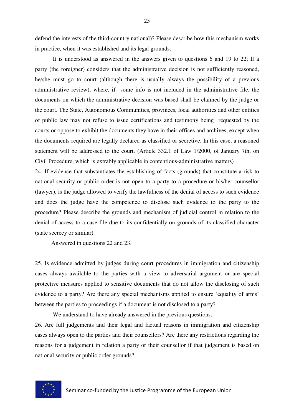defend the interests of the third-country national)? Please describe how this mechanism works in practice, when it was established and its legal grounds.

 It is understood as answered in the answers given to questions 6 and 19 to 22; If a party (the foreigner) considers that the administrative decision is not sufficiently reasoned, he/she must go to court (although there is usually always the possibility of a previous administrative review), where, if some info is not included in the administrative file, the documents on which the administrative decision was based shall be claimed by the judge or the court. The State, Autonomous Communities, provinces, local authorities and other entities of public law may not refuse to issue certifications and testimony being requested by the courts or oppose to exhibit the documents they have in their offices and archives, except when the documents required are legally declared as classified or secretive. In this case, a reasoned statement will be addressed to the court. (Article 332.1 of Law 1/2000, of January 7th, on Civil Procedure, which is extrably applicable in contentious-administrative matters)

24. If evidence that substantiates the establishing of facts (grounds) that constitute a risk to national security or public order is not open to a party to a procedure or his/her counsellor (lawyer), is the judge allowed to verify the lawfulness of the denial of access to such evidence and does the judge have the competence to disclose such evidence to the party to the procedure? Please describe the grounds and mechanism of judicial control in relation to the denial of access to a case file due to its confidentially on grounds of its classified character (state secrecy or similar).

Answered in questions 22 and 23.

25. Is evidence admitted by judges during court procedures in immigration and citizenship cases always available to the parties with a view to adversarial argument or are special protective measures applied to sensitive documents that do not allow the disclosing of such evidence to a party? Are there any special mechanisms applied to ensure 'equality of arms' between the parties to proceedings if a document is not disclosed to a party?

 We understand to have already answered in the previous questions. 26. Are full judgements and their legal and factual reasons in immigration and citizenship cases always open to the parties and their counsellors? Are there any restrictions regarding the reasons for a judgement in relation a party or their counsellor if that judgement is based on national security or public order grounds?